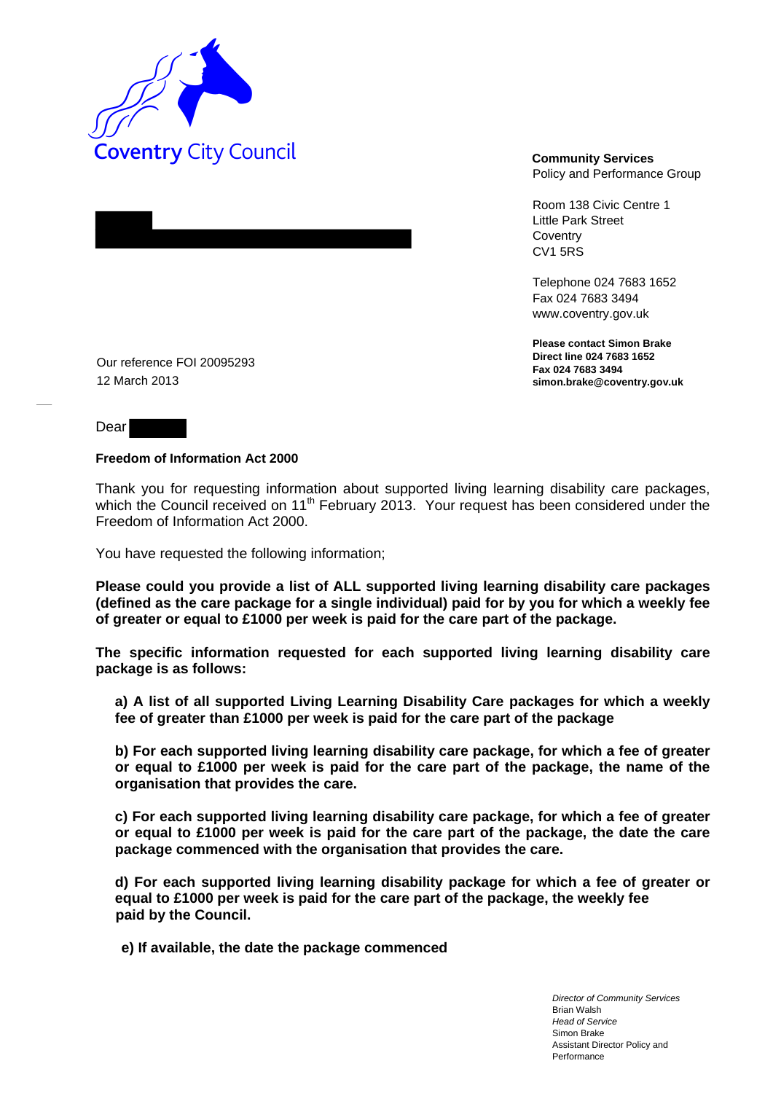

Policy and Performance Group

Room 138 Civic Centre 1 Little Park Street **Coventry** CV1 5RS

Telephone 024 7683 1652 Fax 024 7683 3494 www.coventry.gov.uk

**Please contact Simon Brake Direct line 024 7683 1652 Fax 024 7683 3494 simon.brake@coventry.gov.uk** 

Our reference FOI 20095293 12 March 2013

Dear

## **Freedom of Information Act 2000**

Thank you for requesting information about supported living learning disability care packages, which the Council received on 11<sup>th</sup> February 2013. Your request has been considered under the Freedom of Information Act 2000.

You have requested the following information;

**Please could you provide a list of ALL supported living learning disability care packages (defined as the care package for a single individual) paid for by you for which a weekly fee of greater or equal to £1000 per week is paid for the care part of the package.** 

**The specific information requested for each supported living learning disability care package is as follows:** 

**a) A list of all supported Living Learning Disability Care packages for which a weekly fee of greater than £1000 per week is paid for the care part of the package** 

**b) For each supported living learning disability care package, for which a fee of greater or equal to £1000 per week is paid for the care part of the package, the name of the organisation that provides the care.** 

**c) For each supported living learning disability care package, for which a fee of greater or equal to £1000 per week is paid for the care part of the package, the date the care package commenced with the organisation that provides the care.** 

**d) For each supported living learning disability package for which a fee of greater or equal to £1000 per week is paid for the care part of the package, the weekly fee paid by the Council.** 

**e) If available, the date the package commenced** 

*Director of Community Services*  Brian Walsh *Head of Service*  Simon Brake Assistant Director Policy and Performance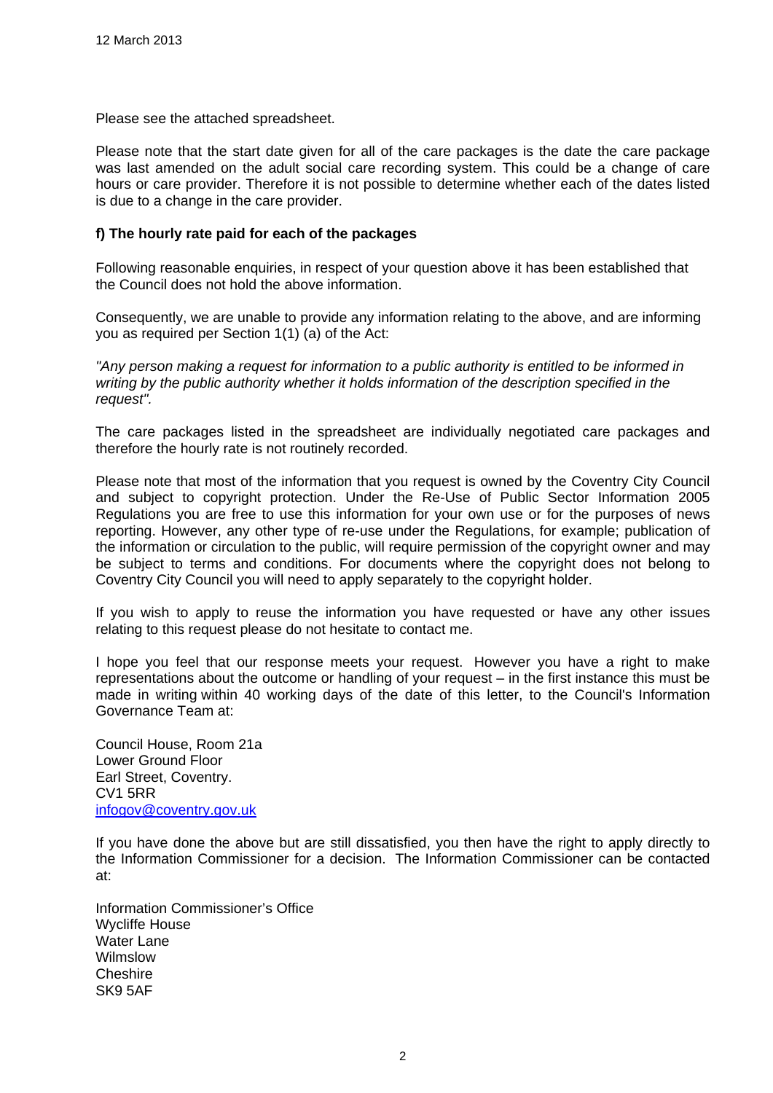Please see the attached spreadsheet.

Please note that the start date given for all of the care packages is the date the care package was last amended on the adult social care recording system. This could be a change of care hours or care provider. Therefore it is not possible to determine whether each of the dates listed is due to a change in the care provider.

## **f) The hourly rate paid for each of the packages**

Following reasonable enquiries, in respect of your question above it has been established that the Council does not hold the above information.

Consequently, we are unable to provide any information relating to the above, and are informing you as required per Section 1(1) (a) of the Act:

*"Any person making a request for information to a public authority is entitled to be informed in writing by the public authority whether it holds information of the description specified in the request".* 

The care packages listed in the spreadsheet are individually negotiated care packages and therefore the hourly rate is not routinely recorded.

Please note that most of the information that you request is owned by the Coventry City Council and subject to copyright protection. Under the Re-Use of Public Sector Information 2005 Regulations you are free to use this information for your own use or for the purposes of news reporting. However, any other type of re-use under the Regulations, for example; publication of the information or circulation to the public, will require permission of the copyright owner and may be subject to terms and conditions. For documents where the copyright does not belong to Coventry City Council you will need to apply separately to the copyright holder.

If you wish to apply to reuse the information you have requested or have any other issues relating to this request please do not hesitate to contact me.

I hope you feel that our response meets your request. However you have a right to make representations about the outcome or handling of your request – in the first instance this must be made in writing within 40 working days of the date of this letter, to the Council's Information Governance Team at:

Council House, Room 21a Lower Ground Floor Earl Street, Coventry. CV1 5RR [infogov@coventry.gov.uk](mailto:infogov@coventry.gov.uk)

If you have done the above but are still dissatisfied, you then have the right to apply directly to the Information Commissioner for a decision. The Information Commissioner can be contacted at:

Information Commissioner's Office Wycliffe House Water Lane Wilmslow Cheshire SK9 5AF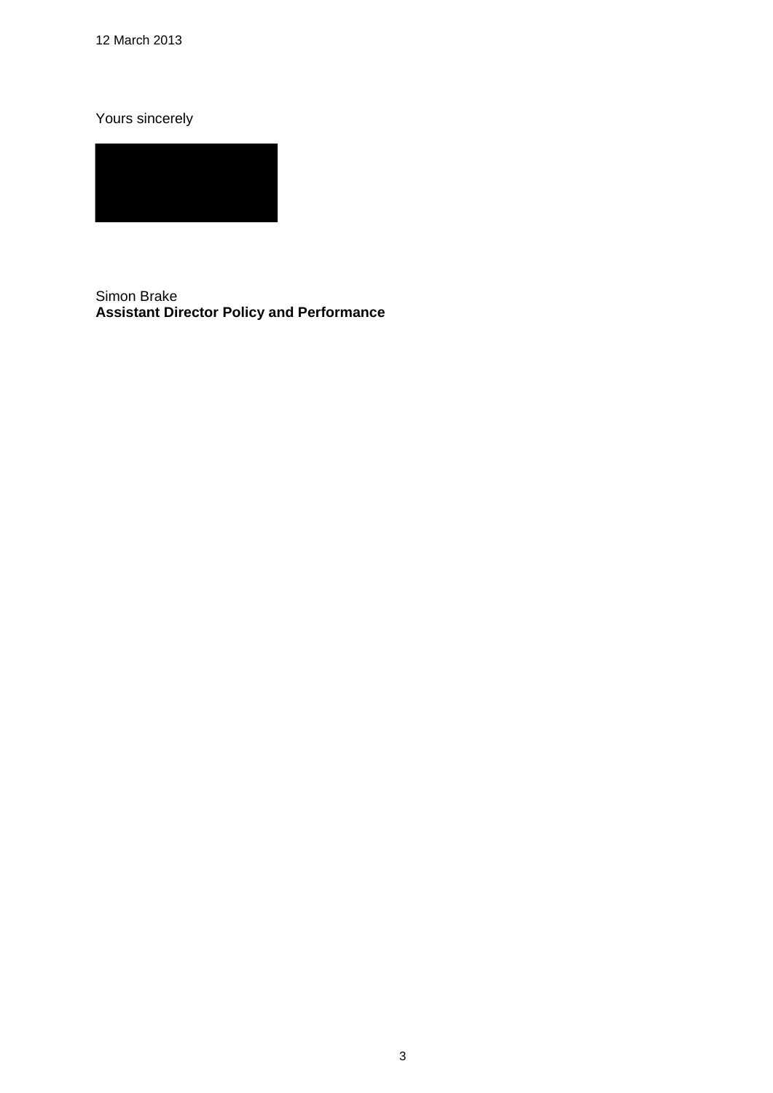12 March 2013

Yours sincerely

Simon Brake **Assistant Director Policy and Performance**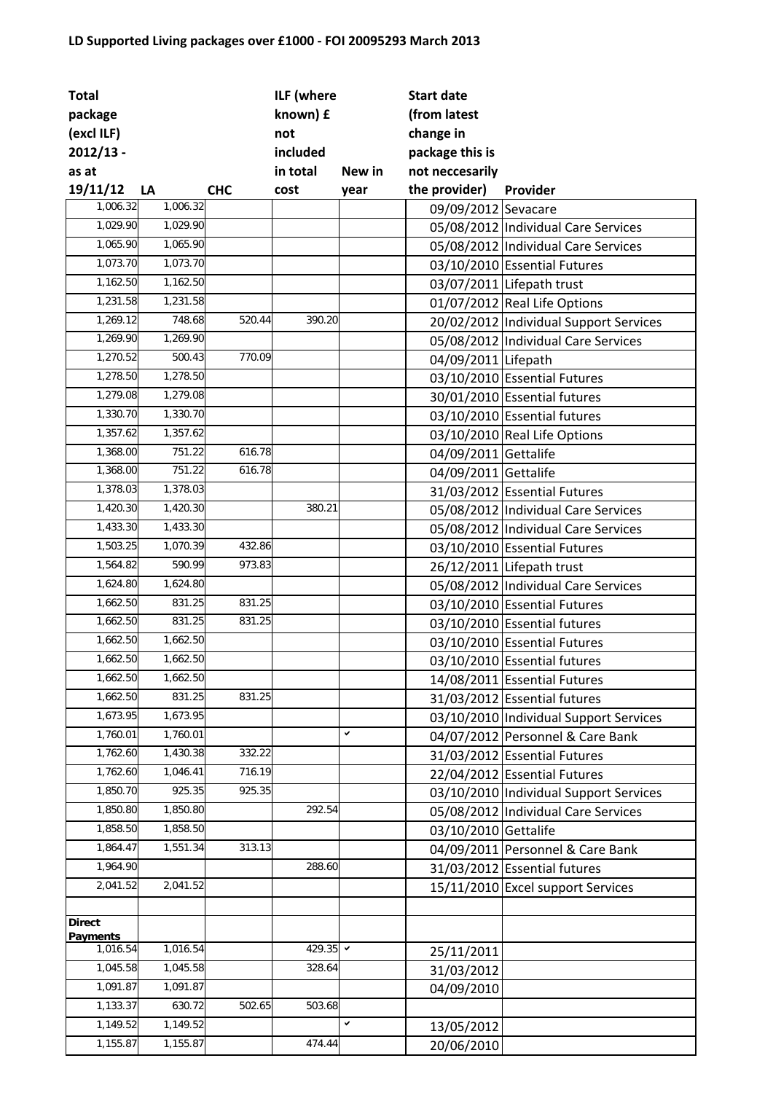## **LD Supported Living packages over £1000 ‐ FOI 20095293 March 2013**

| <b>Total</b>                |          |            | ILF (where |              | <b>Start date</b>    |                                        |
|-----------------------------|----------|------------|------------|--------------|----------------------|----------------------------------------|
| package                     |          |            | known) £   |              | (from latest         |                                        |
| (excl ILF)                  |          |            | not        |              | change in            |                                        |
| $2012/13 -$                 |          |            | included   |              | package this is      |                                        |
| as at                       |          |            | in total   | New in       | not neccesarily      |                                        |
| 19/11/12                    | LA       | <b>CHC</b> | cost       | year         | the provider)        | Provider                               |
| 1,006.32                    | 1,006.32 |            |            |              | 09/09/2012 Sevacare  |                                        |
| 1,029.90                    | 1,029.90 |            |            |              |                      | 05/08/2012 Individual Care Services    |
| 1,065.90                    | 1,065.90 |            |            |              |                      | 05/08/2012 Individual Care Services    |
| 1,073.70                    | 1,073.70 |            |            |              |                      | 03/10/2010 Essential Futures           |
| 1,162.50                    | 1,162.50 |            |            |              |                      | 03/07/2011 Lifepath trust              |
| 1,231.58                    | 1,231.58 |            |            |              |                      | 01/07/2012 Real Life Options           |
| 1,269.12                    | 748.68   | 520.44     | 390.20     |              |                      | 20/02/2012 Individual Support Services |
| 1,269.90                    | 1,269.90 |            |            |              |                      | 05/08/2012 Individual Care Services    |
| 1,270.52                    | 500.43   | 770.09     |            |              | 04/09/2011 Lifepath  |                                        |
| 1,278.50                    | 1,278.50 |            |            |              |                      | 03/10/2010 Essential Futures           |
| 1,279.08                    | 1,279.08 |            |            |              |                      | 30/01/2010 Essential futures           |
| 1,330.70                    | 1,330.70 |            |            |              |                      | 03/10/2010 Essential futures           |
| 1,357.62                    | 1,357.62 |            |            |              |                      | 03/10/2010 Real Life Options           |
| 1,368.00                    | 751.22   | 616.78     |            |              | 04/09/2011 Gettalife |                                        |
| 1,368.00                    | 751.22   | 616.78     |            |              | 04/09/2011 Gettalife |                                        |
| 1,378.03                    | 1,378.03 |            |            |              |                      | 31/03/2012 Essential Futures           |
| 1,420.30                    | 1,420.30 |            | 380.21     |              |                      | 05/08/2012 Individual Care Services    |
| 1,433.30                    | 1,433.30 |            |            |              |                      | 05/08/2012 Individual Care Services    |
| 1,503.25                    | 1,070.39 | 432.86     |            |              |                      | 03/10/2010 Essential Futures           |
| 1,564.82                    | 590.99   | 973.83     |            |              |                      | 26/12/2011 Lifepath trust              |
| 1,624.80                    | 1,624.80 |            |            |              |                      | 05/08/2012 Individual Care Services    |
| 1,662.50                    | 831.25   | 831.25     |            |              |                      | 03/10/2010 Essential Futures           |
| 1,662.50                    | 831.25   | 831.25     |            |              |                      | 03/10/2010 Essential futures           |
| 1,662.50                    | 1,662.50 |            |            |              |                      | 03/10/2010 Essential Futures           |
| 1,662.50                    | 1,662.50 |            |            |              |                      | 03/10/2010 Essential futures           |
| 1,662.50                    | 1,662.50 |            |            |              |                      | 14/08/2011 Essential Futures           |
| 1,662.50                    | 831.25   | 831.25     |            |              |                      | 31/03/2012 Essential futures           |
| 1,673.95                    | 1,673.95 |            |            |              |                      | 03/10/2010 Individual Support Services |
| 1,760.01                    | 1,760.01 |            |            | $\checkmark$ |                      | 04/07/2012 Personnel & Care Bank       |
| 1,762.60                    | 1,430.38 | 332.22     |            |              |                      | 31/03/2012 Essential Futures           |
| 1,762.60                    | 1,046.41 | 716.19     |            |              |                      | 22/04/2012 Essential Futures           |
| 1,850.70                    | 925.35   | 925.35     |            |              |                      | 03/10/2010 Individual Support Services |
| 1,850.80                    | 1,850.80 |            | 292.54     |              |                      | 05/08/2012 Individual Care Services    |
| 1,858.50                    | 1,858.50 |            |            |              | 03/10/2010 Gettalife |                                        |
| 1,864.47                    | 1,551.34 | 313.13     |            |              |                      | 04/09/2011 Personnel & Care Bank       |
| 1,964.90                    |          |            | 288.60     |              |                      | 31/03/2012 Essential futures           |
| 2,041.52                    | 2,041.52 |            |            |              |                      | 15/11/2010 Excel support Services      |
|                             |          |            |            |              |                      |                                        |
| <b>Direct</b>               |          |            |            |              |                      |                                        |
| <b>Payments</b><br>1,016.54 | 1,016.54 |            | 429.35 →   |              |                      |                                        |
| 1,045.58                    | 1,045.58 |            | 328.64     |              | 25/11/2011           |                                        |
| 1,091.87                    | 1,091.87 |            |            |              | 31/03/2012           |                                        |
| 1,133.37                    | 630.72   | 502.65     | 503.68     |              | 04/09/2010           |                                        |
| 1,149.52                    | 1,149.52 |            |            | $\checkmark$ |                      |                                        |
| 1,155.87                    | 1,155.87 |            | 474.44     |              | 13/05/2012           |                                        |
|                             |          |            |            |              | 20/06/2010           |                                        |